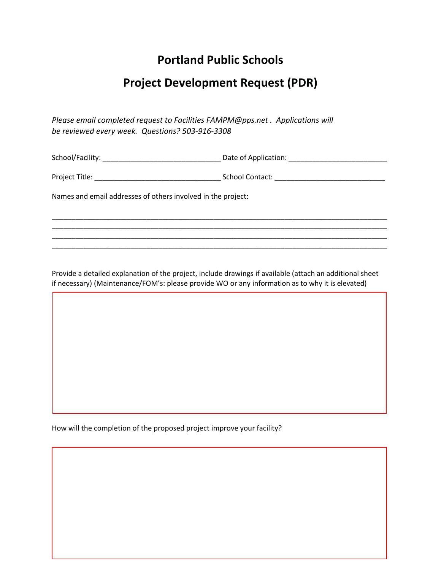## **Portland Public Schools**

## **Project Development Request (PDR)**

*Please email completed request to Facilities FAMPM@pps.net . Applications will be reviewed every week. Questions? 503-916-3308*

School/Facility: \_\_\_\_\_\_\_\_\_\_\_\_\_\_\_\_\_\_\_\_\_\_\_\_\_\_\_\_\_\_ Date of Application: \_\_\_\_\_\_\_\_\_\_\_\_\_\_\_\_\_\_\_\_\_\_\_\_\_

Project Title: \_\_\_\_\_\_\_\_\_\_\_\_\_\_\_\_\_\_\_\_\_\_\_\_\_\_\_\_\_\_\_\_ School Contact: \_\_\_\_\_\_\_\_\_\_\_\_\_\_\_\_\_\_\_\_\_\_\_\_\_\_\_\_

\_\_\_\_\_\_\_\_\_\_\_\_\_\_\_\_\_\_\_\_\_\_\_\_\_\_\_\_\_\_\_\_\_\_\_\_\_\_\_\_\_\_\_\_\_\_\_\_\_\_\_\_\_\_\_\_\_\_\_\_\_\_\_\_\_\_\_\_\_\_\_\_\_\_\_\_\_\_\_\_\_\_\_\_\_ \_\_\_\_\_\_\_\_\_\_\_\_\_\_\_\_\_\_\_\_\_\_\_\_\_\_\_\_\_\_\_\_\_\_\_\_\_\_\_\_\_\_\_\_\_\_\_\_\_\_\_\_\_\_\_\_\_\_\_\_\_\_\_\_\_\_\_\_\_\_\_\_\_\_\_\_\_\_\_\_\_\_\_\_\_ \_\_\_\_\_\_\_\_\_\_\_\_\_\_\_\_\_\_\_\_\_\_\_\_\_\_\_\_\_\_\_\_\_\_\_\_\_\_\_\_\_\_\_\_\_\_\_\_\_\_\_\_\_\_\_\_\_\_\_\_\_\_\_\_\_\_\_\_\_\_\_\_\_\_\_\_\_\_\_\_\_\_\_\_\_ \_\_\_\_\_\_\_\_\_\_\_\_\_\_\_\_\_\_\_\_\_\_\_\_\_\_\_\_\_\_\_\_\_\_\_\_\_\_\_\_\_\_\_\_\_\_\_\_\_\_\_\_\_\_\_\_\_\_\_\_\_\_\_\_\_\_\_\_\_\_\_\_\_\_\_\_\_\_\_\_\_\_\_\_\_

Names and email addresses of others involved in the project:

Provide a detailed explanation of the project, include drawings if available (attach an additional sheet if necessary) (Maintenance/FOM's: please provide WO or any information as to why it is elevated)

How will the completion of the proposed project improve your facility?